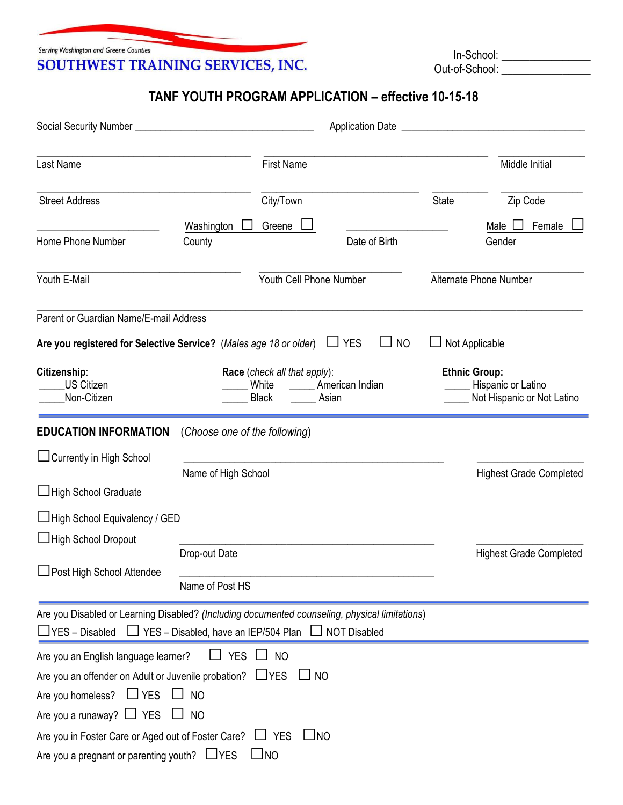Serving Washington and Greene Counties SOUTHWEST TRAINING SERVICES, INC.

 In-School: \_\_\_\_\_\_\_\_\_\_\_\_\_\_\_\_ Out-of-School: \_\_\_\_\_\_\_\_\_\_\_\_\_\_\_\_

## **TANF YOUTH PROGRAM APPLICATION – effective 10-15-18**

| Social Security Number _                                                                                                                                                                |                                  |                                                                |                         |              |                                                                          |
|-----------------------------------------------------------------------------------------------------------------------------------------------------------------------------------------|----------------------------------|----------------------------------------------------------------|-------------------------|--------------|--------------------------------------------------------------------------|
| Last Name                                                                                                                                                                               |                                  | <b>First Name</b>                                              |                         |              | Middle Initial                                                           |
| <b>Street Address</b>                                                                                                                                                                   |                                  | City/Town                                                      |                         | <b>State</b> | Zip Code                                                                 |
|                                                                                                                                                                                         | Washington                       | Greene                                                         |                         |              | Female<br>Male                                                           |
| Home Phone Number                                                                                                                                                                       | County                           |                                                                | Date of Birth           |              | Gender                                                                   |
| Youth E-Mail                                                                                                                                                                            |                                  | Youth Cell Phone Number                                        |                         |              | Alternate Phone Number                                                   |
| Parent or Guardian Name/E-mail Address<br>Are you registered for Selective Service? (Males age 18 or older)                                                                             |                                  |                                                                | $\Box$ YES<br><b>NO</b> |              | Not Applicable                                                           |
| Citizenship:<br><b>US Citizen</b><br>Non-Citizen                                                                                                                                        |                                  | Race (check all that apply):<br>White<br><b>Black</b><br>Asian | American Indian         |              | <b>Ethnic Group:</b><br>Hispanic or Latino<br>Not Hispanic or Not Latino |
| <b>EDUCATION INFORMATION</b>                                                                                                                                                            | (Choose one of the following)    |                                                                |                         |              |                                                                          |
| □ Currently in High School<br>High School Graduate                                                                                                                                      | Name of High School              |                                                                |                         |              | <b>Highest Grade Completed</b>                                           |
| □ High School Equivalency / GED<br>□ High School Dropout                                                                                                                                |                                  |                                                                |                         |              |                                                                          |
| JPost High School Attendee                                                                                                                                                              | Drop-out Date<br>Name of Post HS |                                                                |                         |              | <b>Highest Grade Completed</b>                                           |
| Are you Disabled or Learning Disabled? (Including documented counseling, physical limitations)<br>$\Box$ YES – Disabled $\Box$ YES – Disabled, have an IEP/504 Plan $\Box$ NOT Disabled |                                  |                                                                |                         |              |                                                                          |
| Are you an English language learner?                                                                                                                                                    | <b>YES</b>                       | $\Box$ NO                                                      |                         |              |                                                                          |
| Are you an offender on Adult or Juvenile probation? LYES                                                                                                                                |                                  | J NO                                                           |                         |              |                                                                          |
| Are you homeless?<br>$\Box$ YES                                                                                                                                                         | <b>NO</b>                        |                                                                |                         |              |                                                                          |
| Are you a runaway? $\Box$ YES                                                                                                                                                           | <b>NO</b>                        |                                                                |                         |              |                                                                          |
| Are you in Foster Care or Aged out of Foster Care? LJ YES                                                                                                                               |                                  | $\Box$ NO                                                      |                         |              |                                                                          |
| Are you a pregnant or parenting youth? $LYES$                                                                                                                                           |                                  | $\square$ NO                                                   |                         |              |                                                                          |